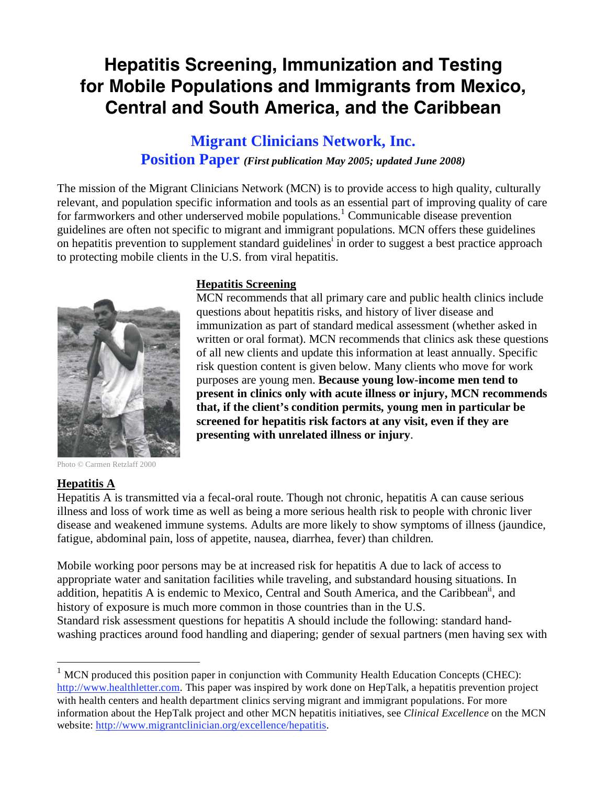# **Hepatitis Screening, Immunization and Testing for Mobile Populations and Immigrants from Mexico, Central and South America, and the Caribbean**

# **Migrant Clinicians Network, Inc. Position Paper** *(First publication May 2005; updated June 2008)*

The mission of the Migrant Clinicians Network (MCN) is to provide access to high quality, culturally relevant, and population specific information and tools as an essential part of improving quality of care for farmworkers and other underserved mobile populations.<sup>1</sup> Communicable disease prevention guidelines are often not specific to migrant and immigrant populations. MCN offers these guidelines on hepatitis prevention to supplement standard guidelines<sup>i</sup> in order to suggest a best practice approach to protecting mobile clients in the U.S. from viral hepatitis.



#### **Hepatitis Screening**

MCN recommends that all primary care and public health clinics include questions about hepatitis risks, and history of liver disease and immunization as part of standard medical assessment (whether asked in written or oral format). MCN recommends that clinics ask these questions of all new clients and update this information at least annually. Specific risk question content is given below. Many clients who move for work purposes are young men. **Because young low-income men tend to present in clinics only with acute illness or injury, MCN recommends that, if the client's condition permits, young men in particular be screened for hepatitis risk factors at any visit, even if they are presenting with unrelated illness or injury**.

Photo © Carmen Retzlaff 2000

#### **Hepatitis A**

 $\overline{a}$ 

Hepatitis A is transmitted via a fecal-oral route. Though not chronic, hepatitis A can cause serious illness and loss of work time as well as being a more serious health risk to people with chronic liver disease and weakened immune systems. Adults are more likely to show symptoms of illness (jaundice, fatigue, abdominal pain, loss of appetite, nausea, diarrhea, fever) than children.

Mobile working poor persons may be at increased risk for hepatitis A due to lack of access to appropriate water and sanitation facilities while traveling, and substandard housing situations. In addition, hepatitis A is endemic to Mexico, Central and South America, and the Caribbean<sup>ii</sup>, and history of exposure is much more common in those countries than in the U.S. Standard risk assessment questions for hepatitis A should include the following: standard handwashing practices around food handling and diapering; gender of sexual partners (men having sex with

 $1$  MCN produced this position paper in conjunction with Community Health Education Concepts (CHEC): http://www.healthletter.com. This paper was inspired by work done on HepTalk, a hepatitis prevention project with health centers and health department clinics serving migrant and immigrant populations. For more information about the HepTalk project and other MCN hepatitis initiatives, see *Clinical Excellence* on the MCN website: http://www.migrantclinician.org/excellence/hepatitis.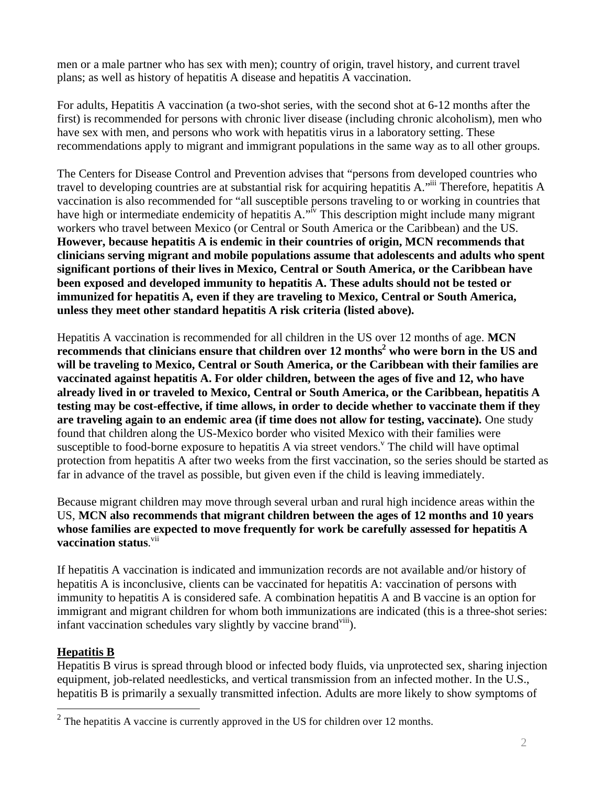men or a male partner who has sex with men); country of origin, travel history, and current travel plans; as well as history of hepatitis A disease and hepatitis A vaccination.

For adults, Hepatitis A vaccination (a two-shot series, with the second shot at 6-12 months after the first) is recommended for persons with chronic liver disease (including chronic alcoholism), men who have sex with men, and persons who work with hepatitis virus in a laboratory setting. These recommendations apply to migrant and immigrant populations in the same way as to all other groups.

The Centers for Disease Control and Prevention advises that "persons from developed countries who travel to developing countries are at substantial risk for acquiring hepatitis A."iii Therefore, hepatitis A vaccination is also recommended for "all susceptible persons traveling to or working in countries that have high or intermediate endemicity of hepatitis A.<sup>"iv</sup> This description might include many migrant workers who travel between Mexico (or Central or South America or the Caribbean) and the US. **However, because hepatitis A is endemic in their countries of origin, MCN recommends that clinicians serving migrant and mobile populations assume that adolescents and adults who spent significant portions of their lives in Mexico, Central or South America, or the Caribbean have been exposed and developed immunity to hepatitis A. These adults should not be tested or immunized for hepatitis A, even if they are traveling to Mexico, Central or South America, unless they meet other standard hepatitis A risk criteria (listed above).** 

Hepatitis A vaccination is recommended for all children in the US over 12 months of age. **MCN**  recommends that clinicians ensure that children over 12 months<sup>2</sup> who were born in the US and **will be traveling to Mexico, Central or South America, or the Caribbean with their families are vaccinated against hepatitis A. For older children, between the ages of five and 12, who have already lived in or traveled to Mexico, Central or South America, or the Caribbean, hepatitis A testing may be cost-effective, if time allows, in order to decide whether to vaccinate them if they are traveling again to an endemic area (if time does not allow for testing, vaccinate).** One study found that children along the US-Mexico border who visited Mexico with their families were susceptible to food-borne exposure to hepatitis A via street vendors.<sup>V</sup> The child will have optimal protection from hepatitis A after two weeks from the first vaccination, so the series should be started as far in advance of the travel as possible, but given even if the child is leaving immediately.

Because migrant children may move through several urban and rural high incidence areas within the US, **MCN also recommends that migrant children between the ages of 12 months and 10 years whose families are expected to move frequently for work be carefully assessed for hepatitis A**  vaccination status.<sup>vii</sup>

If hepatitis A vaccination is indicated and immunization records are not available and/or history of hepatitis A is inconclusive, clients can be vaccinated for hepatitis A: vaccination of persons with immunity to hepatitis A is considered safe. A combination hepatitis A and B vaccine is an option for immigrant and migrant children for whom both immunizations are indicated (this is a three-shot series: infant vaccination schedules vary slightly by vaccine brand<sup>viii</sup>).

### **Hepatitis B**

 $\overline{a}$ 

Hepatitis B virus is spread through blood or infected body fluids, via unprotected sex, sharing injection equipment, job-related needlesticks, and vertical transmission from an infected mother. In the U.S., hepatitis B is primarily a sexually transmitted infection. Adults are more likely to show symptoms of

<sup>&</sup>lt;sup>2</sup> The hepatitis A vaccine is currently approved in the US for children over 12 months.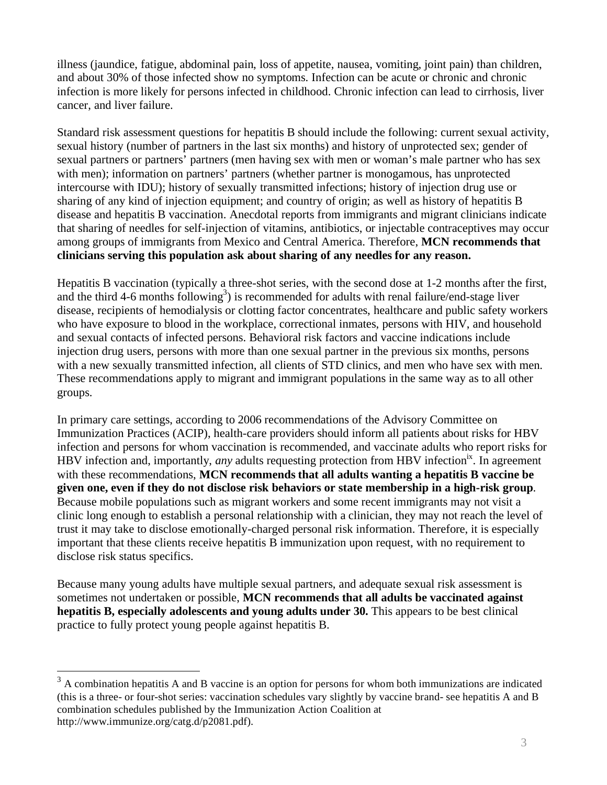illness (jaundice, fatigue, abdominal pain, loss of appetite, nausea, vomiting, joint pain) than children, and about 30% of those infected show no symptoms. Infection can be acute or chronic and chronic infection is more likely for persons infected in childhood. Chronic infection can lead to cirrhosis, liver cancer, and liver failure.

Standard risk assessment questions for hepatitis B should include the following: current sexual activity, sexual history (number of partners in the last six months) and history of unprotected sex; gender of sexual partners or partners' partners (men having sex with men or woman's male partner who has sex with men); information on partners' partners (whether partner is monogamous, has unprotected intercourse with IDU); history of sexually transmitted infections; history of injection drug use or sharing of any kind of injection equipment; and country of origin; as well as history of hepatitis B disease and hepatitis B vaccination. Anecdotal reports from immigrants and migrant clinicians indicate that sharing of needles for self-injection of vitamins, antibiotics, or injectable contraceptives may occur among groups of immigrants from Mexico and Central America. Therefore, **MCN recommends that clinicians serving this population ask about sharing of any needles for any reason.** 

Hepatitis B vaccination (typically a three-shot series, with the second dose at 1-2 months after the first, and the third 4-6 months following<sup>3</sup>) is recommended for adults with renal failure/end-stage liver disease, recipients of hemodialysis or clotting factor concentrates, healthcare and public safety workers who have exposure to blood in the workplace, correctional inmates, persons with HIV, and household and sexual contacts of infected persons. Behavioral risk factors and vaccine indications include injection drug users, persons with more than one sexual partner in the previous six months, persons with a new sexually transmitted infection, all clients of STD clinics, and men who have sex with men. These recommendations apply to migrant and immigrant populations in the same way as to all other groups.

In primary care settings, according to 2006 recommendations of the Advisory Committee on Immunization Practices (ACIP), health-care providers should inform all patients about risks for HBV infection and persons for whom vaccination is recommended, and vaccinate adults who report risks for HBV infection and, importantly, *any* adults requesting protection from HBV infection<sup>ix</sup>. In agreement with these recommendations, **MCN recommends that all adults wanting a hepatitis B vaccine be given one, even if they do not disclose risk behaviors or state membership in a high-risk group**. Because mobile populations such as migrant workers and some recent immigrants may not visit a clinic long enough to establish a personal relationship with a clinician, they may not reach the level of trust it may take to disclose emotionally-charged personal risk information. Therefore, it is especially important that these clients receive hepatitis B immunization upon request, with no requirement to disclose risk status specifics.

Because many young adults have multiple sexual partners, and adequate sexual risk assessment is sometimes not undertaken or possible, **MCN recommends that all adults be vaccinated against hepatitis B, especially adolescents and young adults under 30.** This appears to be best clinical practice to fully protect young people against hepatitis B.

 $\overline{a}$ 

 $3 \text{ A}$  combination hepatitis A and B vaccine is an option for persons for whom both immunizations are indicated (this is a three- or four-shot series: vaccination schedules vary slightly by vaccine brand- see hepatitis A and B combination schedules published by the Immunization Action Coalition at http://www.immunize.org/catg.d/p2081.pdf).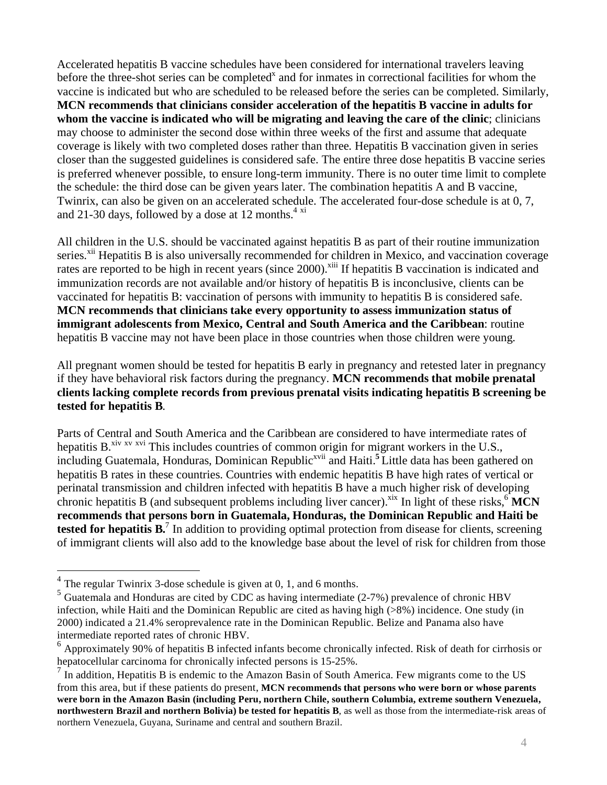Accelerated hepatitis B vaccine schedules have been considered for international travelers leaving before the three-shot series can be completed<sup>x</sup> and for inmates in correctional facilities for whom the vaccine is indicated but who are scheduled to be released before the series can be completed. Similarly, **MCN recommends that clinicians consider acceleration of the hepatitis B vaccine in adults for whom the vaccine is indicated who will be migrating and leaving the care of the clinic**; clinicians may choose to administer the second dose within three weeks of the first and assume that adequate coverage is likely with two completed doses rather than three. Hepatitis B vaccination given in series closer than the suggested guidelines is considered safe. The entire three dose hepatitis B vaccine series is preferred whenever possible, to ensure long-term immunity. There is no outer time limit to complete the schedule: the third dose can be given years later. The combination hepatitis A and B vaccine, Twinrix, can also be given on an accelerated schedule. The accelerated four-dose schedule is at 0, 7, and 21-30 days, followed by a dose at 12 months. $4 \times i$ 

All children in the U.S. should be vaccinated against hepatitis B as part of their routine immunization series.<sup>xii</sup> Hepatitis B is also universally recommended for children in Mexico, and vaccination coverage rates are reported to be high in recent years (since 2000).<sup>xiii</sup> If hepatitis B vaccination is indicated and immunization records are not available and/or history of hepatitis B is inconclusive, clients can be vaccinated for hepatitis B: vaccination of persons with immunity to hepatitis B is considered safe. **MCN recommends that clinicians take every opportunity to assess immunization status of immigrant adolescents from Mexico, Central and South America and the Caribbean**: routine hepatitis B vaccine may not have been place in those countries when those children were young.

All pregnant women should be tested for hepatitis B early in pregnancy and retested later in pregnancy if they have behavioral risk factors during the pregnancy. **MCN recommends that mobile prenatal clients lacking complete records from previous prenatal visits indicating hepatitis B screening be tested for hepatitis B**.

Parts of Central and South America and the Caribbean are considered to have intermediate rates of hepatitis B.<sup>xiv xv</sup> xvi This includes countries of common origin for migrant workers in the U.S., including Guatemala, Honduras, Dominican Republic<sup>xvii</sup> and Haiti.<sup>5</sup> Little data has been gathered on hepatitis B rates in these countries. Countries with endemic hepatitis B have high rates of vertical or perinatal transmission and children infected with hepatitis B have a much higher risk of developing chronic hepatitis B (and subsequent problems including liver cancer).<sup>xix</sup> In light of these risks, $6\overline{MCN}$ **recommends that persons born in Guatemala, Honduras, the Dominican Republic and Haiti be tested for hepatitis B.**<sup>7</sup> In addition to providing optimal protection from disease for clients, screening of immigrant clients will also add to the knowledge base about the level of risk for children from those

 $\overline{a}$ 

 $4$  The regular Twinrix 3-dose schedule is given at 0, 1, and 6 months.

<sup>&</sup>lt;sup>5</sup> Guatemala and Honduras are cited by CDC as having intermediate (2-7%) prevalence of chronic HBV infection, while Haiti and the Dominican Republic are cited as having high (>8%) incidence. One study (in 2000) indicated a 21.4% seroprevalence rate in the Dominican Republic. Belize and Panama also have intermediate reported rates of chronic HBV.

 $6$  Approximately 90% of hepatitis B infected infants become chronically infected. Risk of death for cirrhosis or hepatocellular carcinoma for chronically infected persons is 15-25%.

 $<sup>7</sup>$  In addition, Hepatitis B is endemic to the Amazon Basin of South America. Few migrants come to the US</sup> from this area, but if these patients do present, **MCN recommends that persons who were born or whose parents were born in the Amazon Basin (including Peru, northern Chile, southern Columbia, extreme southern Venezuela, northwestern Brazil and northern Bolivia) be tested for hepatitis B**, as well as those from the intermediate-risk areas of northern Venezuela, Guyana, Suriname and central and southern Brazil.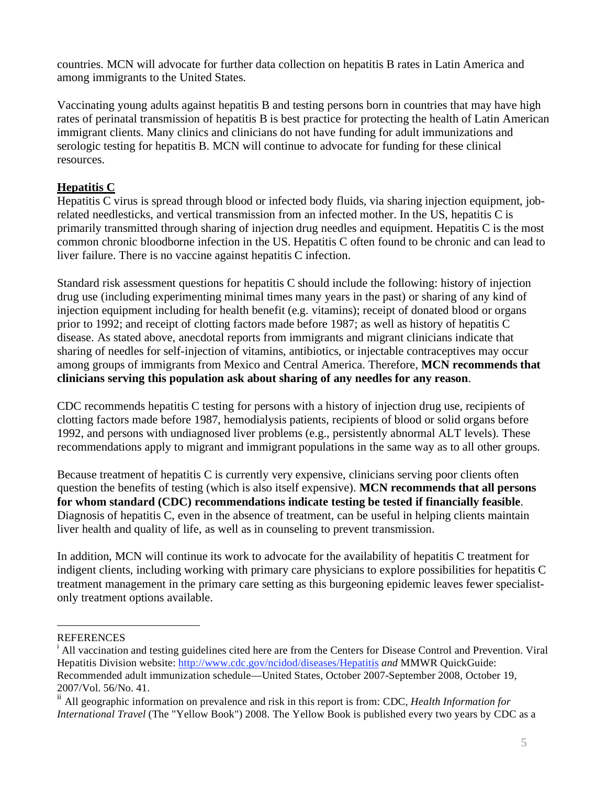countries. MCN will advocate for further data collection on hepatitis B rates in Latin America and among immigrants to the United States.

Vaccinating young adults against hepatitis B and testing persons born in countries that may have high rates of perinatal transmission of hepatitis B is best practice for protecting the health of Latin American immigrant clients. Many clinics and clinicians do not have funding for adult immunizations and serologic testing for hepatitis B. MCN will continue to advocate for funding for these clinical resources.

## **Hepatitis C**

Hepatitis C virus is spread through blood or infected body fluids, via sharing injection equipment, jobrelated needlesticks, and vertical transmission from an infected mother. In the US, hepatitis C is primarily transmitted through sharing of injection drug needles and equipment. Hepatitis C is the most common chronic bloodborne infection in the US. Hepatitis C often found to be chronic and can lead to liver failure. There is no vaccine against hepatitis C infection.

Standard risk assessment questions for hepatitis C should include the following: history of injection drug use (including experimenting minimal times many years in the past) or sharing of any kind of injection equipment including for health benefit (e.g. vitamins); receipt of donated blood or organs prior to 1992; and receipt of clotting factors made before 1987; as well as history of hepatitis C disease. As stated above, anecdotal reports from immigrants and migrant clinicians indicate that sharing of needles for self-injection of vitamins, antibiotics, or injectable contraceptives may occur among groups of immigrants from Mexico and Central America. Therefore, **MCN recommends that clinicians serving this population ask about sharing of any needles for any reason**.

CDC recommends hepatitis C testing for persons with a history of injection drug use, recipients of clotting factors made before 1987, hemodialysis patients, recipients of blood or solid organs before 1992, and persons with undiagnosed liver problems (e.g., persistently abnormal ALT levels). These recommendations apply to migrant and immigrant populations in the same way as to all other groups.

Because treatment of hepatitis C is currently very expensive, clinicians serving poor clients often question the benefits of testing (which is also itself expensive). **MCN recommends that all persons for whom standard (CDC) recommendations indicate testing be tested if financially feasible**. Diagnosis of hepatitis C, even in the absence of treatment, can be useful in helping clients maintain liver health and quality of life, as well as in counseling to prevent transmission.

In addition, MCN will continue its work to advocate for the availability of hepatitis C treatment for indigent clients, including working with primary care physicians to explore possibilities for hepatitis C treatment management in the primary care setting as this burgeoning epidemic leaves fewer specialistonly treatment options available.

 $\overline{a}$ 

**REFERENCES** 

<sup>&</sup>lt;sup>i</sup> All vaccination and testing guidelines cited here are from the Centers for Disease Control and Prevention. Viral Hepatitis Division website: http://www.cdc.gov/ncidod/diseases/Hepatitis *and* MMWR QuickGuide: Recommended adult immunization schedule—United States, October 2007-September 2008, October 19, 2007/Vol. 56/No. 41.

ii All geographic information on prevalence and risk in this report is from: CDC, *Health Information for International Travel* (The "Yellow Book") 2008. The Yellow Book is published every two years by CDC as a